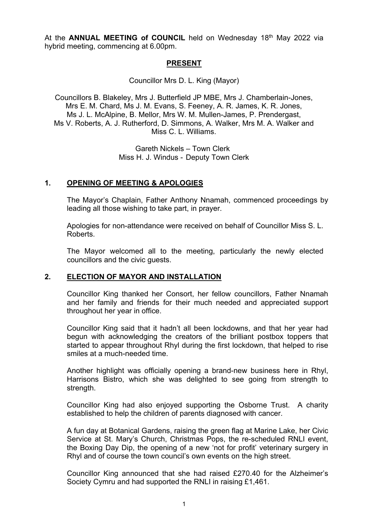At the **ANNUAL MEETING of COUNCIL** held on Wednesday 18<sup>th</sup> May 2022 via hybrid meeting, commencing at 6.00pm.

### **PRESENT**

Councillor Mrs D. L. King (Mayor)

Councillors B. Blakeley, Mrs J. Butterfield JP MBE, Mrs J. Chamberlain-Jones, Mrs E. M. Chard, Ms J. M. Evans, S. Feeney, A. R. James, K. R. Jones, Ms J. L. McAlpine, B. Mellor, Mrs W. M. Mullen-James, P. Prendergast, Ms V. Roberts, A. J. Rutherford, D. Simmons, A. Walker, Mrs M. A. Walker and Miss C. L. Williams.

> Gareth Nickels – Town Clerk Miss H. J. Windus - Deputy Town Clerk

## **1. OPENING OF MEETING & APOLOGIES**

The Mayor's Chaplain, Father Anthony Nnamah, commenced proceedings by leading all those wishing to take part, in prayer.

Apologies for non-attendance were received on behalf of Councillor Miss S. L. Roberts.

The Mayor welcomed all to the meeting, particularly the newly elected councillors and the civic guests.

## **2. ELECTION OF MAYOR AND INSTALLATION**

Councillor King thanked her Consort, her fellow councillors, Father Nnamah and her family and friends for their much needed and appreciated support throughout her year in office.

Councillor King said that it hadn't all been lockdowns, and that her year had begun with acknowledging the creators of the brilliant postbox toppers that started to appear throughout Rhyl during the first lockdown, that helped to rise smiles at a much-needed time.

Another highlight was officially opening a brand-new business here in Rhyl, Harrisons Bistro, which she was delighted to see going from strength to strength.

Councillor King had also enjoyed supporting the Osborne Trust. A charity established to help the children of parents diagnosed with cancer.

A fun day at Botanical Gardens, raising the green flag at Marine Lake, her Civic Service at St. Mary's Church, Christmas Pops, the re-scheduled RNLI event, the Boxing Day Dip, the opening of a new 'not for profit' veterinary surgery in Rhyl and of course the town council's own events on the high street.

Councillor King announced that she had raised £270.40 for the Alzheimer's Society Cymru and had supported the RNLI in raising £1,461.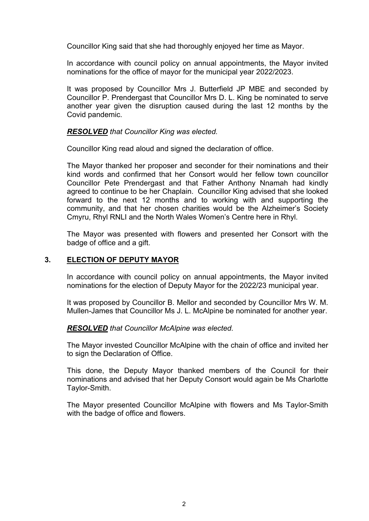Councillor King said that she had thoroughly enjoyed her time as Mayor.

In accordance with council policy on annual appointments, the Mayor invited nominations for the office of mayor for the municipal year 2022/2023.

It was proposed by Councillor Mrs J. Butterfield JP MBE and seconded by Councillor P. Prendergast that Councillor Mrs D. L. King be nominated to serve another year given the disruption caused during the last 12 months by the Covid pandemic.

### *RESOLVED that Councillor King was elected.*

Councillor King read aloud and signed the declaration of office.

The Mayor thanked her proposer and seconder for their nominations and their kind words and confirmed that her Consort would her fellow town councillor Councillor Pete Prendergast and that Father Anthony Nnamah had kindly agreed to continue to be her Chaplain. Councillor King advised that she looked forward to the next 12 months and to working with and supporting the community, and that her chosen charities would be the Alzheimer's Society Cmyru, Rhyl RNLI and the North Wales Women's Centre here in Rhyl.

The Mayor was presented with flowers and presented her Consort with the badge of office and a gift.

### **3. ELECTION OF DEPUTY MAYOR**

In accordance with council policy on annual appointments, the Mayor invited nominations for the election of Deputy Mayor for the 2022/23 municipal year.

It was proposed by Councillor B. Mellor and seconded by Councillor Mrs W. M. Mullen-James that Councillor Ms J. L. McAlpine be nominated for another year.

### *RESOLVED that Councillor McAlpine was elected.*

The Mayor invested Councillor McAlpine with the chain of office and invited her to sign the Declaration of Office.

This done, the Deputy Mayor thanked members of the Council for their nominations and advised that her Deputy Consort would again be Ms Charlotte Taylor-Smith.

The Mayor presented Councillor McAlpine with flowers and Ms Taylor-Smith with the badge of office and flowers.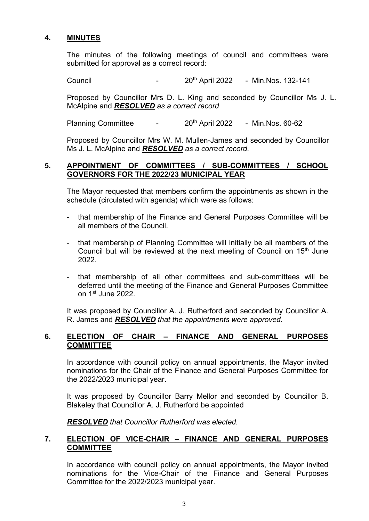## **4. MINUTES**

The minutes of the following meetings of council and committees were submitted for approval as a correct record:

Council - 20th April 2022 - Min.Nos. 132-141

Proposed by Councillor Mrs D. L. King and seconded by Councillor Ms J. L. McAlpine and *RESOLVED as a correct record*

Planning Committee - 20<sup>th</sup> April 2022 - Min.Nos. 60-62

Proposed by Councillor Mrs W. M. Mullen-James and seconded by Councillor Ms J. L. McAlpine and *RESOLVED as a correct record.*

### **5. APPOINTMENT OF COMMITTEES / SUB-COMMITTEES / SCHOOL GOVERNORS FOR THE 2022/23 MUNICIPAL YEAR**

 The Mayor requested that members confirm the appointments as shown in the schedule (circulated with agenda) which were as follows:

- that membership of the Finance and General Purposes Committee will be all members of the Council.
- that membership of Planning Committee will initially be all members of the Council but will be reviewed at the next meeting of Council on 15<sup>th</sup> June 2022.
- that membership of all other committees and sub-committees will be deferred until the meeting of the Finance and General Purposes Committee on 1st June 2022.

It was proposed by Councillor A. J. Rutherford and seconded by Councillor A. R. James and *RESOLVED that the appointments were approved.*

## **6. ELECTION OF CHAIR – FINANCE AND GENERAL PURPOSES COMMITTEE**

In accordance with council policy on annual appointments, the Mayor invited nominations for the Chair of the Finance and General Purposes Committee for the 2022/2023 municipal year.

It was proposed by Councillor Barry Mellor and seconded by Councillor B. Blakeley that Councillor A. J. Rutherford be appointed

*RESOLVED that Councillor Rutherford was elected.* 

## **7. ELECTION OF VICE-CHAIR – FINANCE AND GENERAL PURPOSES COMMITTEE**

In accordance with council policy on annual appointments, the Mayor invited nominations for the Vice-Chair of the Finance and General Purposes Committee for the 2022/2023 municipal year.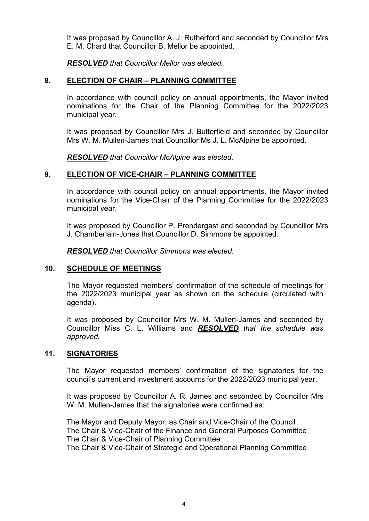It was proposed by Councillor A. J. Rutherford and seconded by Councillor Mrs E. M. Chard that Councillor B. Mellor be appointed.

*RESOLVED that Councillor Mellor was elected.*

### **8. ELECTION OF CHAIR – PLANNING COMMITTEE**

In accordance with council policy on annual appointments, the Mayor invited nominations for the Chair of the Planning Committee for the 2022/2023 municipal year.

It was proposed by Councillor Mrs J. Butterfield and seconded by Councillor Mrs W. M. Mullen-James that Councillor Ms J. L. McAlpine be appointed.

*RESOLVED that Councillor McAlpine was elected.*

### **9. ELECTION OF VICE-CHAIR – PLANNING COMMITTEE**

In accordance with council policy on annual appointments, the Mayor invited nominations for the Vice-Chair of the Planning Committee for the 2022/2023 municipal year.

It was proposed by Councillor P. Prendergast and seconded by Councillor Mrs J. Chamberlain-Jones that Councillor D. Simmons be appointed.

*RESOLVED that Councillor Simmons was elected.*

## **10. SCHEDULE OF MEETINGS**

The Mayor requested members' confirmation of the schedule of meetings for the 2022/2023 municipal year as shown on the schedule (circulated with agenda).

It was proposed by Councillor Mrs W. M. Mullen-James and seconded by Councillor Miss C. L. Williams and *RESOLVED that the schedule was approved.*

### **11. SIGNATORIES**

The Mayor requested members' confirmation of the signatories for the council's current and investment accounts for the 2022/2023 municipal year.

It was proposed by Councillor A. R. James and seconded by Councillor Mrs W. M. Mullen-James that the signatories were confirmed as:

The Mayor and Deputy Mayor, as Chair and Vice-Chair of the Council The Chair & Vice-Chair of the Finance and General Purposes Committee The Chair & Vice-Chair of Planning Committee The Chair & Vice-Chair of Strategic and Operational Planning Committee